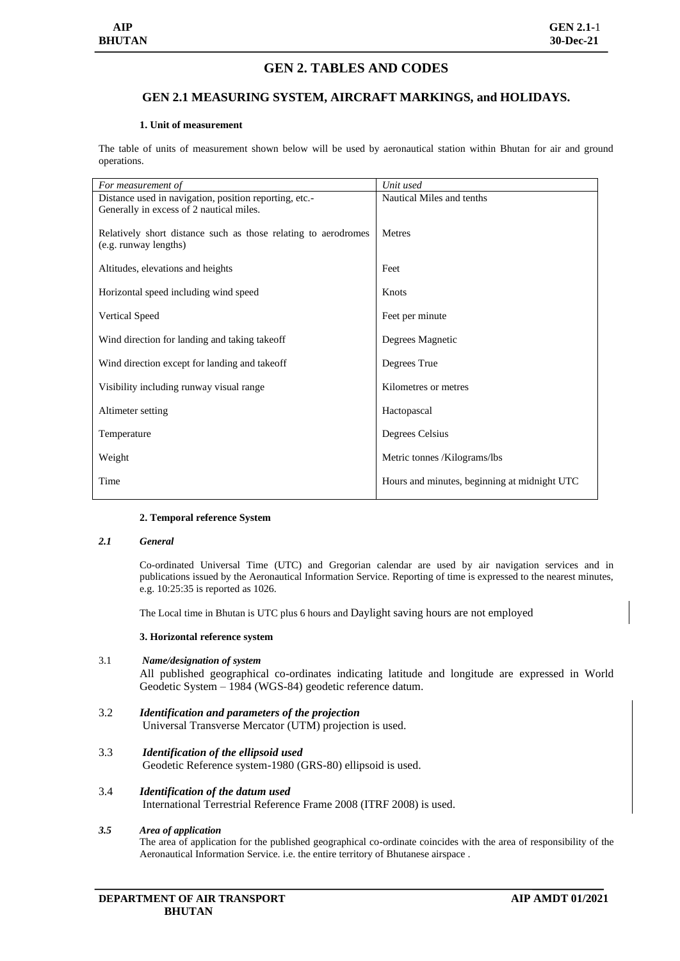# **GEN 2. TABLES AND CODES**

## **GEN 2.1 MEASURING SYSTEM, AIRCRAFT MARKINGS, and HOLIDAYS.**

#### **1. Unit of measurement**

The table of units of measurement shown below will be used by aeronautical station within Bhutan for air and ground operations.

| For measurement of                                                                      | Unit used                                    |
|-----------------------------------------------------------------------------------------|----------------------------------------------|
| Distance used in navigation, position reporting, etc.-                                  | Nautical Miles and tenths                    |
| Generally in excess of 2 nautical miles.                                                |                                              |
| Relatively short distance such as those relating to aerodromes<br>(e.g. runway lengths) | <b>Metres</b>                                |
| Altitudes, elevations and heights                                                       | Feet                                         |
| Horizontal speed including wind speed                                                   | Knots                                        |
| <b>Vertical Speed</b>                                                                   | Feet per minute                              |
| Wind direction for landing and taking takeoff                                           | Degrees Magnetic                             |
| Wind direction except for landing and takeoff                                           | Degrees True                                 |
| Visibility including runway visual range                                                | Kilometres or metres                         |
| Altimeter setting                                                                       | Hactopascal                                  |
| Temperature                                                                             | Degrees Celsius                              |
| Weight                                                                                  | Metric tonnes /Kilograms/lbs                 |
| Time                                                                                    | Hours and minutes, beginning at midnight UTC |
|                                                                                         |                                              |

#### **2. Temporal reference System**

#### *2.1 General*

Co-ordinated Universal Time (UTC) and Gregorian calendar are used by air navigation services and in publications issued by the Aeronautical Information Service. Reporting of time is expressed to the nearest minutes, e.g. 10:25:35 is reported as 1026.

The Local time in Bhutan is UTC plus 6 hours and Daylight saving hours are not employed

#### **3. Horizontal reference system**

### 3.1 *Name/designation of system*

All published geographical co-ordinates indicating latitude and longitude are expressed in World Geodetic System – 1984 (WGS-84) geodetic reference datum.

- 3.2 *Identification and parameters of the projection* Universal Transverse Mercator (UTM) projection is used.
- 3.3 *Identification of the ellipsoid used* Geodetic Reference system-1980 (GRS-80) ellipsoid is used.
- 3.4 *Identification of the datum used* International Terrestrial Reference Frame 2008 (ITRF 2008) is used.

## *3.5 Area of application*

The area of application for the published geographical co-ordinate coincides with the area of responsibility of the Aeronautical Information Service. i.e. the entire territory of Bhutanese airspace .